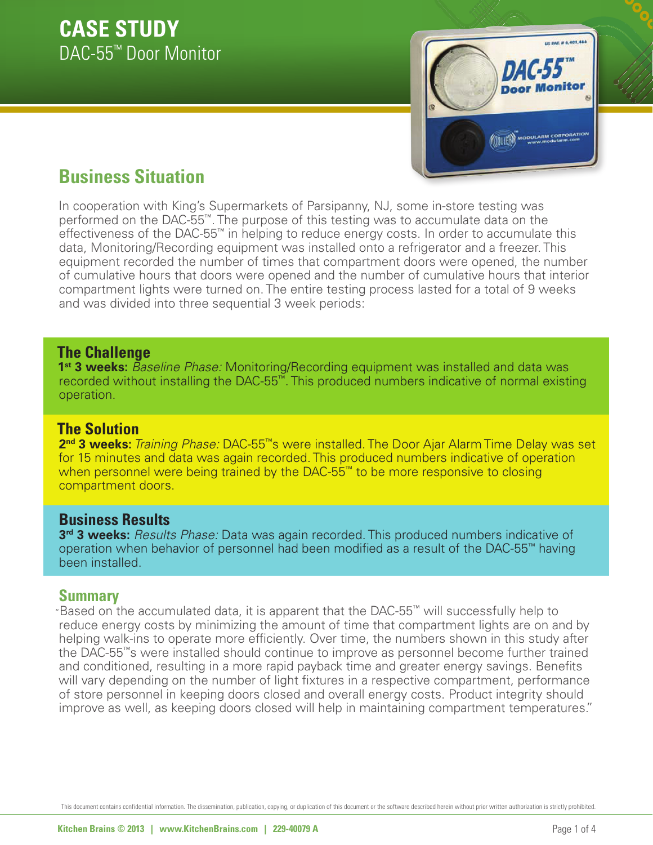

# **Business Situation**

In cooperation with King's Supermarkets of Parsipanny, NJ, some in-store testing was performed on the DAC-55™. The purpose of this testing was to accumulate data on the effectiveness of the DAC-55™ in helping to reduce energy costs. In order to accumulate this data, Monitoring/Recording equipment was installed onto a refrigerator and a freezer. This equipment recorded the number of times that compartment doors were opened, the number of cumulative hours that doors were opened and the number of cumulative hours that interior compartment lights were turned on. The entire testing process lasted for a total of 9 weeks and was divided into three sequential 3 week periods:

### **The Challenge**

1<sup>st</sup> 3 weeks: Baseline Phase: Monitoring/Recording equipment was installed and data was recorded without installing the DAC-55™. This produced numbers indicative of normal existing operation.

## **The Solution**

**2nd 3 weeks:** *Training Phase:* DAC-55™s were installed. The Door Ajar Alarm Time Delay was set for 15 minutes and data was again recorded. This produced numbers indicative of operation when personnel were being trained by the DAC-55™ to be more responsive to closing compartment doors.

# **Business Results**

3<sup>rd</sup> 3 weeks: Results Phase: Data was again recorded. This produced numbers indicative of operation when behavior of personnel had been modified as a result of the DAC-55™ having been installed.

## **Summary**

"Based on the accumulated data, it is apparent that the DAC-55™ will successfully help to reduce energy costs by minimizing the amount of time that compartment lights are on and by helping walk-ins to operate more efficiently. Over time, the numbers shown in this study after the DAC-55™s were installed should continue to improve as personnel become further trained and conditioned, resulting in a more rapid payback time and greater energy savings. Benefits will vary depending on the number of light fixtures in a respective compartment, performance of store personnel in keeping doors closed and overall energy costs. Product integrity should improve as well, as keeping doors closed will help in maintaining compartment temperatures."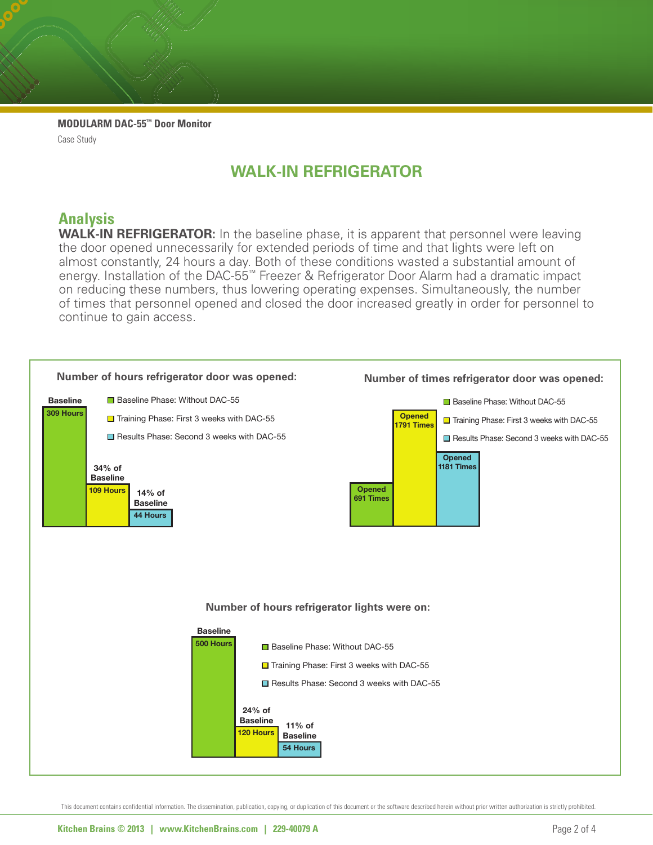**MODULARM DAC-55™ Door Monitor** Case Study

# **WALK-IN REFRIGERATOR**

## **Analysis**

**WALK-IN REFRIGERATOR:** In the baseline phase, it is apparent that personnel were leaving on reducing these numbers, thus lowering operating expenses. Simultaneously, the number **Baseline** the door opened unnecessarily for extended periods of time and that lights were left on almost constantly, 24 hours a day. Both of these conditions wasted a substantial amount of energy. Installation of the DAC-55<sup>™</sup> Freezer & Refrigerator Door Alarm had a dramatic impact of times that personnel opened and closed the door increased greatly in order for personnel to continue to gain access.

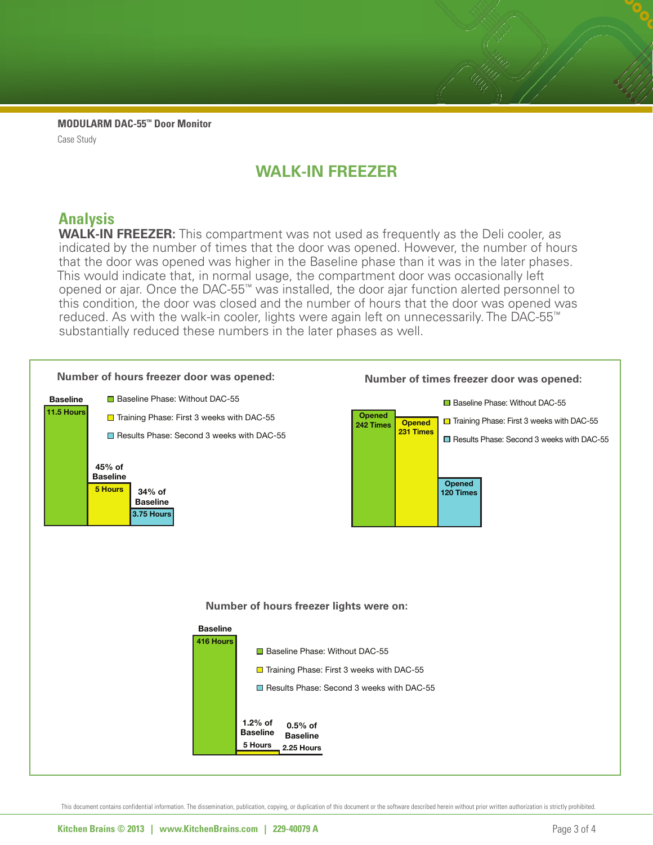**MODULARM DAC-55™ Door Monitor** Case Study

# **WALK-IN FREEZER**

## **Analysis**

indicated by the number of times that the door was opened. However, the number of hours Indicated by the namber of times that the door that eperiodic reflection, the namber of heart **45% of** reduced. As with the walk-in cooler, lights were again left on unnecessarily. The DAC-55<sup>™</sup> substantially reduced these numbers in the later phases as well. This would indicate that, in normal usage, the compartment door was occasionally left **Baseline 11.5 Hours** opened of ajai. Shee the BAC 55 was instance, the door ajai ranction alcred personnel to this condition, the door was closed and the number of hours that the door was opened was **WALK-IN FREEZER:** This compartment was not used as frequently as the Deli cooler, as opened or ajar. Once the DAC-55™ was installed, the door ajar function alerted personnel to